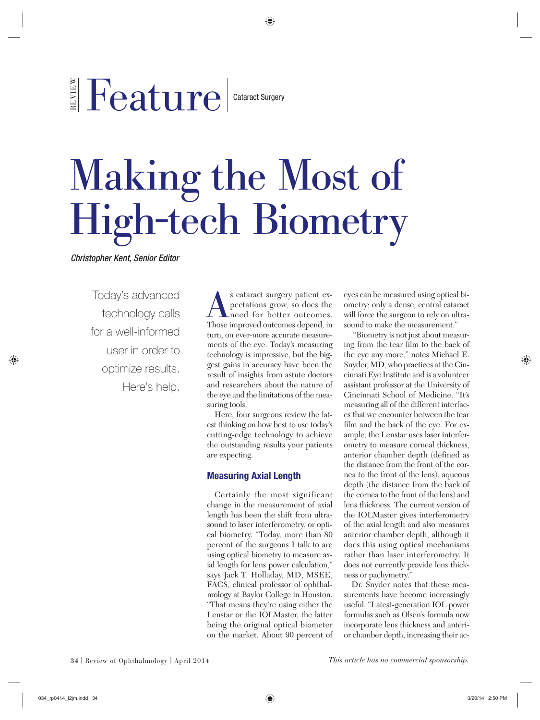# REVIEW Feature

#### Cataract Surgery

# Making the Most of High-tech Biometry

*Christopher Kent, Senior Editor*

Today's advanced technology calls for a well-informed user in order to optimize results. Here's help.

s cataract surgery patient expectations grow, so does the need for better outcomes.<br>Those improved outcomes depend, in pectations grow, so does the need for better outcomes. turn, on ever-more accurate measurements of the eye. Today's measuring technology is impressive, but the biggest gains in accuracy have been the result of insights from astute doctors and researchers about the nature of the eye and the limitations of the measuring tools.

Here, four surgeons review the latest thinking on how best to use today's cutting-edge technology to achieve the outstanding results your patients are expecting.

## **Measuring Axial Length**

Certainly the most significant change in the measurement of axial length has been the shift from ultrasound to laser interferometry, or optical biometry. "Today, more than 80 percent of the surgeons I talk to are using optical biometry to measure axial length for lens power calculation," says Jack T. Holladay, MD, MSEE, FACS, clinical professor of ophthalmology at Baylor College in Houston. "That means they're using either the Lenstar or the IOLMaster, the latter being the original optical biometer on the market. About 90 percent of eyes can be measured using optical biometry; only a dense, central cataract will force the surgeon to rely on ultrasound to make the measurement."

 "Biometry is not just about measuring from the tear film to the back of the eye any more," notes Michael E. Snyder, MD, who practices at the Cincinnati Eye Institute and is a volunteer assistant professor at the University of Cincinnati School of Medicine. "It's measuring all of the different interfaces that we encounter between the tear film and the back of the eye. For example, the Lenstar uses laser interferometry to measure corneal thickness, anterior chamber depth (defined as the distance from the front of the cornea to the front of the lens), aqueous depth (the distance from the back of the cornea to the front of the lens) and lens thickness. The current version of the IOLMaster gives interferometry of the axial length and also measures anterior chamber depth, although it does this using optical mechanisms rather than laser interferometry. It does not currently provide lens thickness or pachymetry."

Dr. Snyder notes that these measurements have become increasingly useful. "Latest-generation IOL power formulas such as Olsen's formula now incorporate lens thickness and anterior chamber depth, increasing their ac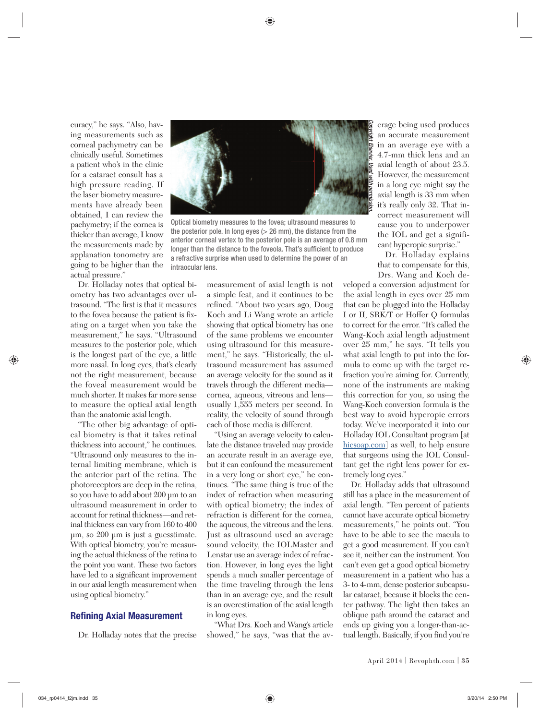curacy," he says. "Also, having measurements such as corneal pachymetry can be clinically useful. Sometimes a patient who's in the clinic for a cataract consult has a high pressure reading. If the laser biometry measurements have already been obtained, I can review the pachymetry; if the cornea is thicker than average, I know the measurements made by applanation tonometry are going to be higher than the actual pressure."

Dr. Holladay notes that optical biometry has two advantages over ultrasound. "The first is that it measures to the fovea because the patient is fixating on a target when you take the measurement," he says. "Ultrasound measures to the posterior pole, which is the longest part of the eye, a little more nasal. In long eyes, that's clearly not the right measurement, because the foveal measurement would be much shorter. It makes far more sense to measure the optical axial length than the anatomic axial length.

"The other big advantage of optical biometry is that it takes retinal thickness into account," he continues. "Ultrasound only measures to the internal limiting membrane, which is the anterior part of the retina. The photoreceptors are deep in the retina, so you have to add about 200 µm to an ultrasound measurement in order to account for retinal thickness—and retinal thickness can vary from 160 to 400 µm, so 200 µm is just a guesstimate. With optical biometry, you're measuring the actual thickness of the retina to the point you want. These two factors have led to a significant improvement in our axial length measurement when using optical biometry."

#### **Refining Axial Measurement**

Dr. Holladay notes that the precise



Optical biometry measures to the fovea; ultrasound measures to the posterior pole. In long eyes  $(> 26 \text{ mm})$ , the distance from the anterior corneal vertex to the posterior pole is an average of 0.8 mm longer than the distance to the foveola. That's sufficient to produce a refractive surprise when used to determine the power of an intraocular lens.

measurement of axial length is not a simple feat, and it continues to be refined. "About two years ago, Doug Koch and Li Wang wrote an article showing that optical biometry has one of the same problems we encounter using ultrasound for this measurement," he says. "Historically, the ultrasound measurement has assumed an average velocity for the sound as it travels through the different media cornea, aqueous, vitreous and lens usually 1,555 meters per second. In reality, the velocity of sound through each of those media is different.

"Using an average velocity to calculate the distance traveled may provide an accurate result in an average eye, but it can confound the measurement in a very long or short eye," he continues. "The same thing is true of the index of refraction when measuring with optical biometry; the index of refraction is different for the cornea, the aqueous, the vitreous and the lens. Just as ultrasound used an average sound velocity, the IOLMaster and Lenstar use an average index of refraction. However, in long eyes the light spends a much smaller percentage of the time traveling through the lens than in an average eye, and the result is an overestimation of the axial length in long eyes.

"What Drs. Koch and Wang's article showed," he says, "was that the average being used produces an accurate measurement in an average eye with a 4.7-mm thick lens and an axial length of about 23.5. However, the measurement in a long eye might say the axial length is 33 mm when it's really only 32. That incorrect measurement will cause you to underpower the IOL and get a significant hyperopic surprise."

Dr. Holladay explains that to compensate for this, Drs. Wang and Koch de-

veloped a conversion adjustment for the axial length in eyes over 25 mm that can be plugged into the Holladay I or II, SRK/T or Hoffer Q formulas to correct for the error. "It's called the Wang-Koch axial length adjustment over 25 mm," he says. "It tells you what axial length to put into the formula to come up with the target refraction you're aiming for. Currently, none of the instruments are making this correction for you, so using the Wang-Koch conversion formula is the best way to avoid hyperopic errors today. We've incorporated it into our Holladay IOL Consultant program [at hicsoap.com] as well, to help ensure that surgeons using the IOL Consultant get the right lens power for extremely long eyes."

Dr. Holladay adds that ultrasound still has a place in the measurement of axial length. "Ten percent of patients cannot have accurate optical biometry measurements," he points out. "You have to be able to see the macula to get a good measurement. If you can't see it, neither can the instrument. You can't even get a good optical biometry measurement in a patient who has a 3- to 4-mm, dense posterior subcapsular cataract, because it blocks the center pathway. The light then takes an oblique path around the cataract and ends up giving you a longer-than-actual length. Basically, if you find you're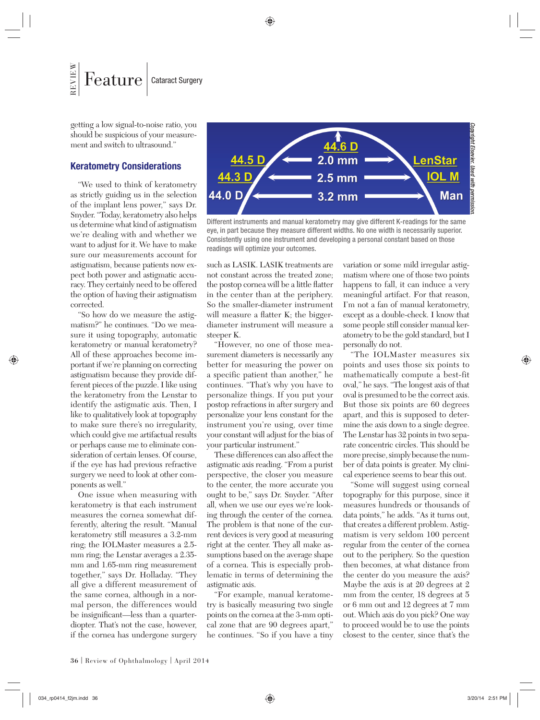getting a low signal-to-noise ratio, you should be suspicious of your measurement and switch to ultrasound."

### **Keratometry Considerations**

"We used to think of keratometry as strictly guiding us in the selection of the implant lens power," says Dr. Snyder. "Today, keratometry also helps us determine what kind of astigmatism we're dealing with and whether we want to adjust for it. We have to make sure our measurements account for astigmatism, because patients now expect both power and astigmatic accuracy. They certainly need to be offered the option of having their astigmatism corrected.

"So how do we measure the astigmatism?" he continues. "Do we measure it using topography, automatic keratometry or manual keratometry? All of these approaches become important if we're planning on correcting astigmatism because they provide different pieces of the puzzle. I like using the keratometry from the Lenstar to identify the astigmatic axis. Then, I like to qualitatively look at topography to make sure there's no irregularity, which could give me artifactual results or perhaps cause me to eliminate consideration of certain lenses. Of course, if the eye has had previous refractive surgery we need to look at other components as well."

One issue when measuring with keratometry is that each instrument measures the cornea somewhat differently, altering the result. "Manual keratometry still measures a 3.2-mm ring; the IOLMaster measures a 2.5 mm ring; the Lenstar averages a 2.35 mm and 1.65-mm ring measurement together," says Dr. Holladay. "They all give a different measurement of the same cornea, although in a normal person, the differences would be insignificant—less than a quarterdiopter. That's not the case, however, if the cornea has undergone surgery



Different instruments and manual keratometry may give different K-readings for the same eye, in part because they measure different widths. No one width is necessarily superior. Consistently using one instrument and developing a personal constant based on those readings will optimize your outcomes.

such as LASIK. LASIK treatments are not constant across the treated zone; the postop cornea will be a little flatter in the center than at the periphery. So the smaller-diameter instrument will measure a flatter K; the biggerdiameter instrument will measure a steeper K.

"However, no one of those measurement diameters is necessarily any better for measuring the power on a specific patient than another," he continues. "That's why you have to personalize things. If you put your postop refractions in after surgery and personalize your lens constant for the instrument you're using, over time your constant will adjust for the bias of your particular instrument."

These differences can also affect the astigmatic axis reading. "From a purist perspective, the closer you measure to the center, the more accurate you ought to be," says Dr. Snyder. "After all, when we use our eyes we're looking through the center of the cornea. The problem is that none of the current devices is very good at measuring right at the center. They all make assumptions based on the average shape of a cornea. This is especially problematic in terms of determining the astigmatic axis.

"For example, manual keratometry is basically measuring two single points on the cornea at the 3-mm optical zone that are 90 degrees apart," he continues. "So if you have a tiny variation or some mild irregular astigmatism where one of those two points happens to fall, it can induce a very meaningful artifact. For that reason, I'm not a fan of manual keratometry, except as a double-check. I know that some people still consider manual keratometry to be the gold standard, but I personally do not.

"The IOLMaster measures six points and uses those six points to mathematically compute a best-fit oval," he says. "The longest axis of that oval is presumed to be the correct axis. But those six points are 60 degrees apart, and this is supposed to determine the axis down to a single degree. The Lenstar has 32 points in two separate concentric circles. This should be more precise, simply because the number of data points is greater. My clinical experience seems to bear this out.

"Some will suggest using corneal topography for this purpose, since it measures hundreds or thousands of data points," he adds. "As it turns out, that creates a different problem. Astigmatism is very seldom 100 percent regular from the center of the cornea out to the periphery. So the question then becomes, at what distance from the center do you measure the axis? Maybe the axis is at 20 degrees at 2 mm from the center, 18 degrees at 5 or 6 mm out and 12 degrees at 7 mm out. Which axis do you pick? One way to proceed would be to use the points closest to the center, since that's the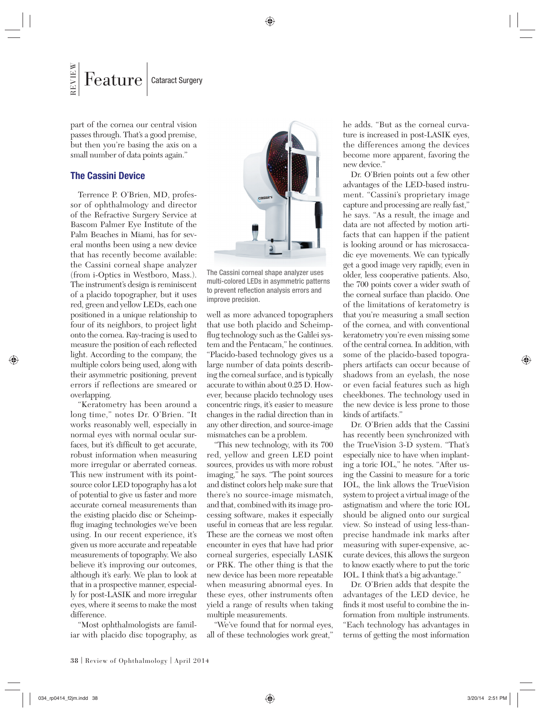part of the cornea our central vision passes through. That's a good premise, but then you're basing the axis on a small number of data points again."

#### **The Cassini Device**

Terrence P. O'Brien, MD, professor of ophthalmology and director of the Refractive Surgery Service at Bascom Palmer Eye Institute of the Palm Beaches in Miami, has for several months been using a new device that has recently become available: the Cassini corneal shape analyzer (from i-Optics in Westboro, Mass.). The instrument's design is reminiscent of a placido topographer, but it uses red, green and yellow LEDs, each one positioned in a unique relationship to four of its neighbors, to project light onto the cornea. Ray-tracing is used to measure the position of each reflected light. According to the company, the multiple colors being used, along with their asymmetric positioning, prevent errors if reflections are smeared or overlapping.

"Keratometry has been around a long time," notes Dr. O'Brien. "It works reasonably well, especially in normal eyes with normal ocular surfaces, but it's difficult to get accurate, robust information when measuring more irregular or aberrated corneas. This new instrument with its pointsource color LED topography has a lot of potential to give us faster and more accurate corneal measurements than the existing placido disc or Scheimpflug imaging technologies we've been using. In our recent experience, it's given us more accurate and repeatable measurements of topography. We also believe it's improving our outcomes, although it's early. We plan to look at that in a prospective manner, especially for post-LASIK and more irregular eyes, where it seems to make the most difference.

"Most ophthalmologists are familiar with placido disc topography, as



The Cassini corneal shape analyzer uses multi-colored LEDs in asymmetric patterns to prevent reflection analysis errors and improve precision.

well as more advanced topographers that use both placido and Scheimpflug technology such as the Galilei system and the Pentacam," he continues. "Placido-based technology gives us a large number of data points describing the corneal surface, and is typically accurate to within about 0.25 D. However, because placido technology uses concentric rings, it's easier to measure changes in the radial direction than in any other direction, and source-image mismatches can be a problem.

"This new technology, with its 700 red, yellow and green LED point sources, provides us with more robust imaging," he says. "The point sources and distinct colors help make sure that there's no source-image mismatch, and that, combined with its image processing software, makes it especially useful in corneas that are less regular. These are the corneas we most often encounter in eyes that have had prior corneal surgeries, especially LASIK or PRK. The other thing is that the new device has been more repeatable when measuring abnormal eyes. In these eyes, other instruments often yield a range of results when taking multiple measurements.

"We've found that for normal eyes, all of these technologies work great,"

he adds. "But as the corneal curvature is increased in post-LASIK eyes, the differences among the devices become more apparent, favoring the new device."

Dr. O'Brien points out a few other advantages of the LED-based instrument. "Cassini's proprietary image capture and processing are really fast," he says. "As a result, the image and data are not affected by motion artifacts that can happen if the patient is looking around or has microsaccadic eye movements. We can typically get a good image very rapidly, even in older, less cooperative patients. Also, the 700 points cover a wider swath of the corneal surface than placido. One of the limitations of keratometry is that you're measuring a small section of the cornea, and with conventional keratometry you're even missing some of the central cornea. In addition, with some of the placido-based topographers artifacts can occur because of shadows from an eyelash, the nose or even facial features such as high cheekbones. The technology used in the new device is less prone to those kinds of artifacts."

Dr. O'Brien adds that the Cassini has recently been synchronized with the TrueVision 3-D system. "That's especially nice to have when implanting a toric IOL," he notes. "After using the Cassini to measure for a toric IOL, the link allows the TrueVision system to project a virtual image of the astigmatism and where the toric IOL should be aligned onto our surgical view. So instead of using less-thanprecise handmade ink marks after measuring with super-expensive, accurate devices, this allows the surgeon to know exactly where to put the toric IOL. I think that's a big advantage."

Dr. O'Brien adds that despite the advantages of the LED device, he finds it most useful to combine the information from multiple instruments. "Each technology has advantages in terms of getting the most information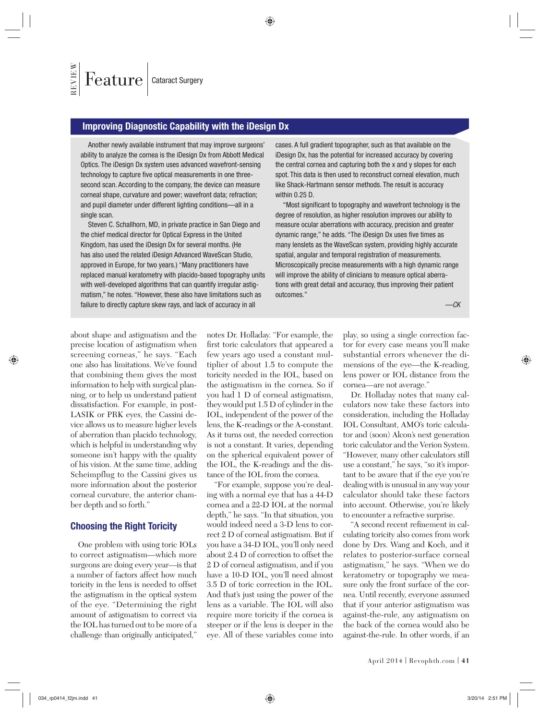#### **Improving Diagnostic Capability with the iDesign Dx**

Another newly available instrument that may improve surgeons' ability to analyze the cornea is the iDesign Dx from Abbott Medical Optics. The iDesign Dx system uses advanced wavefront-sensing technology to capture five optical measurements in one threesecond scan. According to the company, the device can measure corneal shape, curvature and power; wavefront data; refraction; and pupil diameter under different lighting conditions—all in a single scan.

Steven C. Schallhorn, MD, in private practice in San Diego and the chief medical director for Optical Express in the United Kingdom, has used the iDesign Dx for several months. (He has also used the related iDesign Advanced WaveScan Studio, approved in Europe, for two years.) "Many practitioners have replaced manual keratometry with placido-based topography units with well-developed algorithms that can quantify irregular astigmatism," he notes. "However, these also have limitations such as failure to directly capture skew rays, and lack of accuracy in all

cases. A full gradient topographer, such as that available on the iDesign Dx, has the potential for increased accuracy by covering the central cornea and capturing both the x and y slopes for each spot. This data is then used to reconstruct corneal elevation, much like Shack-Hartmann sensor methods. The result is accuracy within 0.25 D.

"Most significant to topography and wavefront technology is the degree of resolution, as higher resolution improves our ability to measure ocular aberrations with accuracy, precision and greater dynamic range," he adds. "The iDesign Dx uses five times as many lenslets as the WaveScan system, providing highly accurate spatial, angular and temporal registration of measurements. Microscopically precise measurements with a high dynamic range will improve the ability of clinicians to measure optical aberrations with great detail and accuracy, thus improving their patient outcomes."

*—CK*

about shape and astigmatism and the precise location of astigmatism when screening corneas," he says. "Each one also has limitations. We've found that combining them gives the most information to help with surgical planning, or to help us understand patient dissatisfaction. For example, in post-LASIK or PRK eyes, the Cassini device allows us to measure higher levels of aberration than placido technology, which is helpful in understanding why someone isn't happy with the quality of his vision. At the same time, adding Scheimpflug to the Cassini gives us more information about the posterior corneal curvature, the anterior chamber depth and so forth."

#### **Choosing the Right Toricity**

One problem with using toric IOLs to correct astigmatism—which more surgeons are doing every year—is that a number of factors affect how much toricity in the lens is needed to offset the astigmatism in the optical system of the eye. "Determining the right amount of astigmatism to correct via the IOL has turned out to be more of a challenge than originally anticipated,"

notes Dr. Holladay. "For example, the first toric calculators that appeared a few years ago used a constant multiplier of about 1.5 to compute the toricity needed in the IOL, based on the astigmatism in the cornea. So if you had 1 D of corneal astigmatism, they would put 1.5 D of cylinder in the IOL, independent of the power of the lens, the K-readings or the A-constant. As it turns out, the needed correction is not a constant. It varies, depending on the spherical equivalent power of the IOL, the K-readings and the distance of the IOL from the cornea.

"For example, suppose you're dealing with a normal eye that has a 44-D cornea and a 22-D IOL at the normal depth," he says. "In that situation, you would indeed need a 3-D lens to correct 2 D of corneal astigmatism. But if you have a 34-D IOL, you'll only need about 2.4 D of correction to offset the 2 D of corneal astigmatism, and if you have a 10-D IOL, you'll need almost 3.5 D of toric correction in the IOL. And that's just using the power of the lens as a variable. The IOL will also require more toricity if the cornea is steeper or if the lens is deeper in the eye. All of these variables come into

play, so using a single correction factor for every case means you'll make substantial errors whenever the dimensions of the eye—the K-reading, lens power or IOL distance from the cornea—are not average."

Dr. Holladay notes that many calculators now take these factors into consideration, including the Holladay IOL Consultant, AMO's toric calculator and (soon) Alcon's next generation toric calculator and the Verion System. "However, many other calculators still use a constant," he says, "so it's important to be aware that if the eye you're dealing with is unusual in any way your calculator should take these factors into account. Otherwise, you're likely to encounter a refractive surprise.

"A second recent refinement in calculating toricity also comes from work done by Drs. Wang and Koch, and it relates to posterior-surface corneal astigmatism," he says. "When we do keratometry or topography we measure only the front surface of the cornea. Until recently, everyone assumed that if your anterior astigmatism was against-the-rule, any astigmatism on the back of the cornea would also be against-the-rule. In other words, if an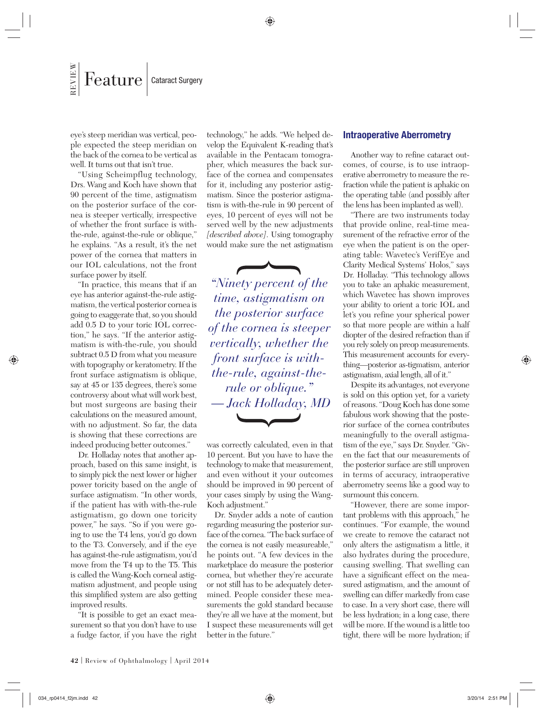eye's steep meridian was vertical, people expected the steep meridian on the back of the cornea to be vertical as well. It turns out that isn't true.

"Using Scheimpflug technology, Drs. Wang and Koch have shown that 90 percent of the time, astigmatism on the posterior surface of the cornea is steeper vertically, irrespective of whether the front surface is withthe-rule, against-the-rule or oblique," he explains. "As a result, it's the net power of the cornea that matters in our IOL calculations, not the front surface power by itself.

"In practice, this means that if an eye has anterior against-the-rule astigmatism, the vertical posterior cornea is going to exaggerate that, so you should add 0.5 D to your toric IOL correction," he says. "If the anterior astigmatism is with-the-rule, you should subtract 0.5 D from what you measure with topography or keratometry. If the front surface astigmatism is oblique, say at 45 or 135 degrees, there's some controversy about what will work best, but most surgeons are basing their calculations on the measured amount, with no adjustment. So far, the data is showing that these corrections are indeed producing better outcomes."

Dr. Holladay notes that another approach, based on this same insight, is to simply pick the next lower or higher power toricity based on the angle of surface astigmatism. "In other words, if the patient has with with-the-rule astigmatism, go down one toricity power," he says. "So if you were going to use the T4 lens, you'd go down to the T3. Conversely, and if the eye has against-the-rule astigmatism, you'd move from the T4 up to the T5. This is called the Wang-Koch corneal astigmatism adjustment, and people using this simplified system are also getting improved results.

"It is possible to get an exact measurement so that you don't have to use a fudge factor, if you have the right technology," he adds. "We helped develop the Equivalent K-reading that's available in the Pentacam tomographer, which measures the back surface of the cornea and compensates for it, including any posterior astigmatism. Since the posterior astigmatism is with-the-rule in 90 percent of eyes, 10 percent of eyes will not be served well by the new adjustments *[described above]*. Using tomography would make sure the net astigmatism

*"Ninety percent of the time, astigmatism on the posterior surface of the cornea is steeper vertically, whether the front surface is withthe-rule, against-therule or oblique." — Jack Holladay, MD*

was correctly calculated, even in that 10 percent. But you have to have the technology to make that measurement, and even without it your outcomes should be improved in 90 percent of your cases simply by using the Wang-Koch adjustment."

Dr. Snyder adds a note of caution regarding measuring the posterior surface of the cornea. "The back surface of the cornea is not easily measureable," he points out. "A few devices in the marketplace do measure the posterior cornea, but whether they're accurate or not still has to be adequately determined. People consider these measurements the gold standard because they're all we have at the moment, but I suspect these measurements will get better in the future."

#### **Intraoperative Aberrometry**

Another way to refine cataract outcomes, of course, is to use intraoperative aberrometry to measure the refraction while the patient is aphakic on the operating table (and possibly after the lens has been implanted as well).

"There are two instruments today that provide online, real-time measurement of the refractive error of the eye when the patient is on the operating table: Wavetec's VerifEye and Clarity Medical Systems' Holos," says Dr. Holladay. "This technology allows you to take an aphakic measurement, which Wavetec has shown improves your ability to orient a toric IOL and let's you refine your spherical power so that more people are within a half diopter of the desired refraction than if you rely solely on preop measurements. This measurement accounts for everything—posterior as-tigmatism, anterior astigmatism, axial length, all of it."

Despite its advantages, not everyone is sold on this option yet, for a variety of reasons. "Doug Koch has done some fabulous work showing that the posterior surface of the cornea contributes meaningfully to the overall astigmatism of the eye," says Dr. Snyder. "Given the fact that our measurements of the posterior surface are still unproven in terms of accuracy, intraoperative aberrometry seems like a good way to surmount this concern.

"However, there are some important problems with this approach," he continues. "For example, the wound we create to remove the cataract not only alters the astigmatism a little, it also hydrates during the procedure, causing swelling. That swelling can have a significant effect on the measured astigmatism, and the amount of swelling can differ markedly from case to case. In a very short case, there will be less hydration; in a long case, there will be more. If the wound is a little too tight, there will be more hydration; if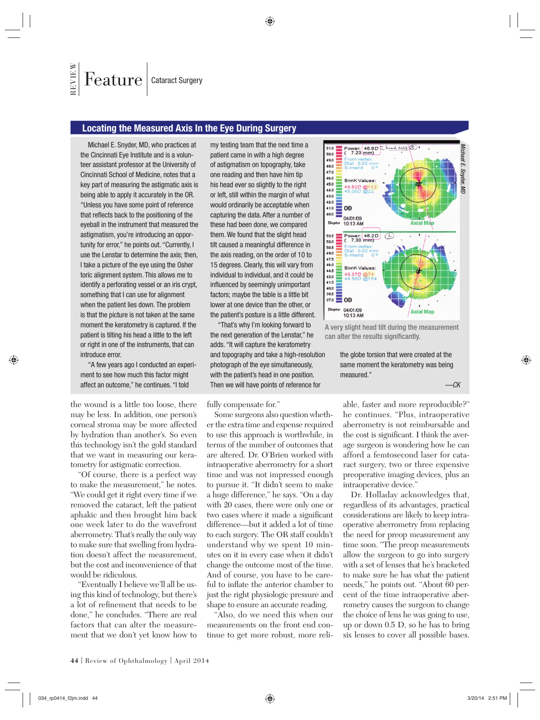#### **Locating the Measured Axis In the Eye During Surgery**

Michael E. Snyder, MD, who practices at the Cincinnati Eye Institute and is a volunteer assistant professor at the University of Cincinnati School of Medicine, notes that a key part of measuring the astigmatic axis is being able to apply it accurately in the OR. "Unless you have some point of reference that reflects back to the positioning of the eyeball in the instrument that measured the astigmatism, you're introducing an opportunity for error," he points out. "Currently, I use the Lenstar to determine the axis; then, I take a picture of the eye using the Osher toric alignment system. This allows me to identify a perforating vessel or an iris crypt, something that I can use for alignment when the patient lies down. The problem is that the picture is not taken at the same moment the keratometry is captured. If the patient is tilting his head a little to the left or right in one of the instruments, that can introduce error.

"A few years ago I conducted an experiment to see how much this factor might affect an outcome," he continues. "I told

the wound is a little too loose, there may be less. In addition, one person's corneal stroma may be more affected by hydration than another's. So even this technology isn't the gold standard that we want in measuring our keratometry for astigmatic correction.

"Of course, there is a perfect way to make the measurement," he notes. "We could get it right every time if we removed the cataract, left the patient aphakic and then brought him back one week later to do the wavefront aberrometry. That's really the only way to make sure that swelling from hydration doesn't affect the measurement, but the cost and inconvenience of that would be ridiculous.

"Eventually I believe we'll all be using this kind of technology, but there's a lot of refinement that needs to be done," he concludes. "There are real factors that can alter the measurement that we don't yet know how to

my testing team that the next time a patient came in with a high degree of astigmatism on topography, take one reading and then have him tip his head ever so slightly to the right or left, still within the margin of what would ordinarily be acceptable when capturing the data. After a number of these had been done, we compared them. We found that the slight head tilt caused a meaningful difference in the axis reading, on the order of 10 to 15 degrees. Clearly, this will vary from individual to individual, and it could be influenced by seemingly unimportant factors; maybe the table is a little bit lower at one device than the other, or the patient's posture is a little different.

"That's why I'm looking forward to the next generation of the Lenstar," he adds. "It will capture the keratometry and topography and take a high-resolution photograph of the eye simultaneously, with the patient's head in one position. Then we will have points of reference for

fully compensate for."

Some surgeons also question whether the extra time and expense required to use this approach is worthwhile, in terms of the number of outcomes that are altered. Dr. O'Brien worked with intraoperative aberrometry for a short time and was not impressed enough to pursue it. "It didn't seem to make a huge difference," he says. "On a day with 20 cases, there were only one or two cases where it made a significant difference—but it added a lot of time to each surgery. The OR staff couldn't understand why we spent 10 minutes on it in every case when it didn't change the outcome most of the time. And of course, you have to be careful to inflate the anterior chamber to just the right physiologic pressure and shape to ensure an accurate reading.

"Also, do we need this when our measurements on the front end continue to get more robust, more reli-



A very slight head tilt during the measurement can alter the results significantly.

the globe torsion that were created at the same moment the keratometry was being measured."

*—CK*

able, faster and more reproducible?" he continues. "Plus, intraoperative aberrometry is not reimbursable and the cost is significant. I think the average surgeon is wondering how he can afford a femtosecond laser for cataract surgery, two or three expensive preoperative imaging devices, plus an intraoperative device."

Dr. Holladay acknowledges that, regardless of its advantages, practical considerations are likely to keep intraoperative aberrometry from replacing the need for preop measurement any time soon. "The preop measurements allow the surgeon to go into surgery with a set of lenses that he's bracketed to make sure he has what the patient needs," he points out. "About 60 percent of the time intraoperative aberrometry causes the surgeon to change the choice of lens he was going to use, up or down 0.5 D, so he has to bring six lenses to cover all possible bases.